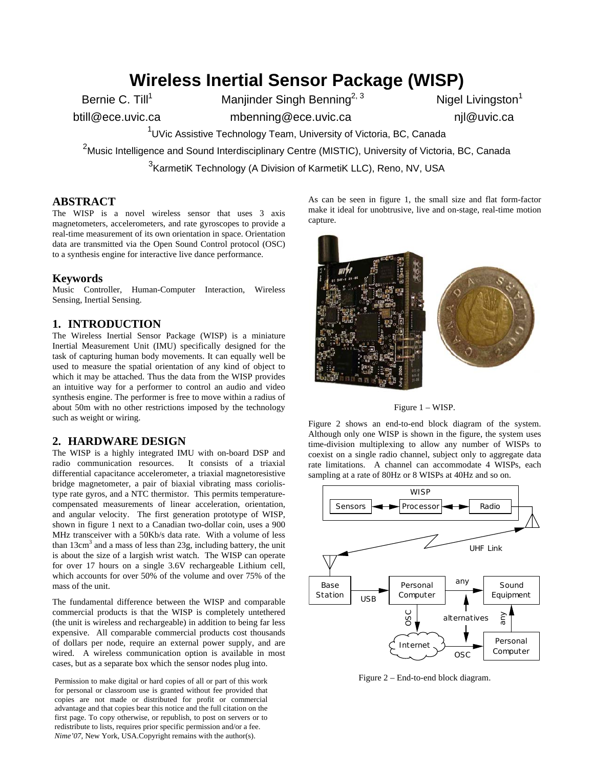# **Wireless Inertial Sensor Package (WISP)**

Bernie C. Till<sup>1</sup> Manjinder Singh Benning<sup>2, 3</sup> Nigel Livingston<sup>1</sup>

btill@ece.uvic.ca mbenning@ece.uvic.ca njl@uvic.ca

<sup>1</sup>UVic Assistive Technology Team, University of Victoria, BC, Canada

 $^2$ Music Intelligence and Sound Interdisciplinary Centre (MISTIC), University of Victoria, BC, Canada

<sup>3</sup>KarmetiK Technology (A Division of KarmetiK LLC), Reno, NV, USA

# **ABSTRACT**

The WISP is a novel wireless sensor that uses 3 axis magnetometers, accelerometers, and rate gyroscopes to provide a real-time measurement of its own orientation in space. Orientation data are transmitted via the Open Sound Control protocol (OSC) to a synthesis engine for interactive live dance performance.

#### **Keywords**

Music Controller, Human-Computer Interaction, Wireless Sensing, Inertial Sensing.

#### **1. INTRODUCTION**

The Wireless Inertial Sensor Package (WISP) is a miniature Inertial Measurement Unit (IMU) specifically designed for the task of capturing human body movements. It can equally well be used to measure the spatial orientation of any kind of object to which it may be attached. Thus the data from the WISP provides an intuitive way for a performer to control an audio and video synthesis engine. The performer is free to move within a radius of about 50m with no other restrictions imposed by the technology such as weight or wiring.

#### **2. HARDWARE DESIGN**

The WISP is a highly integrated IMU with on-board DSP and radio communication resources. It consists of a triaxial differential capacitance accelerometer, a triaxial magnetoresistive bridge magnetometer, a pair of biaxial vibrating mass coriolistype rate gyros, and a NTC thermistor. This permits temperaturecompensated measurements of linear acceleration, orientation, and angular velocity. The first generation prototype of WISP, shown in figure 1 next to a Canadian two-dollar coin, uses a 900 MHz transceiver with a 50Kb/s data rate. With a volume of less than  $13 \text{cm}^3$  and a mass of less than 23g, including battery, the unit is about the size of a largish wrist watch. The WISP can operate for over 17 hours on a single 3.6V rechargeable Lithium cell, which accounts for over 50% of the volume and over 75% of the mass of the unit.

The fundamental difference between the WISP and comparable commercial products is that the WISP is completely untethered (the unit is wireless and rechargeable) in addition to being far less expensive. All comparable commercial products cost thousands of dollars per node, require an external power supply, and are wired. A wireless communication option is available in most cases, but as a separate box which the sensor nodes plug into.

Figure 2 – End-to-end block diagram. Permission to make digital or hard copies of all or part of this work for personal or classroom use is granted without fee provided that copies are not made or distributed for profit or commercial advantage and that copies bear this notice and the full citation on the first page. To copy otherwise, or republish, to post on servers or to redistribute to lists, requires prior specific permission and/or a fee. *Nime'07*, New York, USA.Copyright remains with the author(s).

As can be seen in figure 1, the small size and flat form-factor make it ideal for unobtrusive, live and on-stage, real-time motion capture.



Figure 1 – WISP.

Figure 2 shows an end-to-end block diagram of the system. Although only one WISP is shown in the figure, the system uses time-division multiplexing to allow any number of WISPs to coexist on a single radio channel, subject only to aggregate data rate limitations. A channel can accommodate 4 WISPs, each sampling at a rate of 80Hz or 8 WISPs at 40Hz and so on.